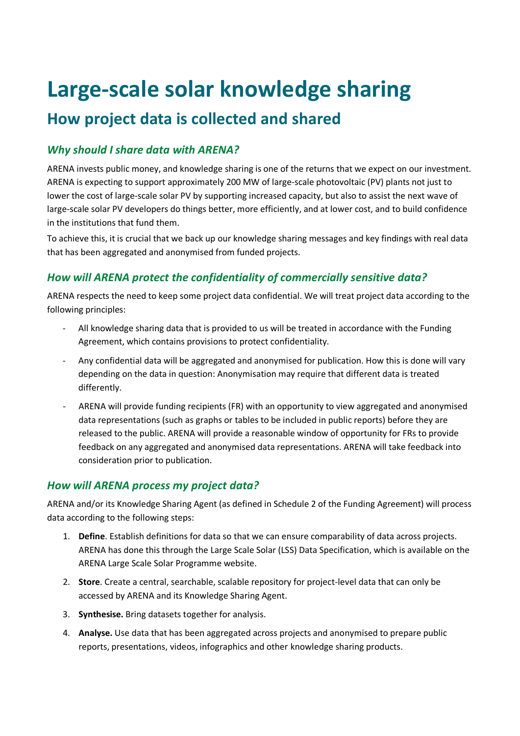# **Large-scale solar knowledge sharing**

# **How project data is collected and shared**

#### *Why should I share data with ARENA?*

ARENA invests public money, and knowledge sharing is one of the returns that we expect on our investment. ARENA is expecting to support approximately 200 MW of large-scale photovoltaic (PV) plants not just to lower the cost of large-scale solar PV by supporting increased capacity, but also to assist the next wave of large-scale solar PV developers do things better, more efficiently, and at lower cost, and to build confidence in the institutions that fund them.

To achieve this, it is crucial that we back up our knowledge sharing messages and key findings with real data that has been aggregated and anonymised from funded projects.

#### *How will ARENA protect the confidentiality of commercially sensitive data?*

ARENA respects the need to keep some project data confidential. We will treat project data according to the following principles:

- All knowledge sharing data that is provided to us will be treated in accordance with the Funding Agreement, which contains provisions to protect confidentiality.
- Any confidential data will be aggregated and anonymised for publication. How this is done will vary depending on the data in question: Anonymisation may require that different data is treated differently.
- ARENA will provide funding recipients (FR) with an opportunity to view aggregated and anonymised data representations (such as graphs or tables to be included in public reports) before they are released to the public. ARENA will provide a reasonable window of opportunity for FRs to provide feedback on any aggregated and anonymised data representations. ARENA will take feedback into consideration prior to publication.

#### *How will ARENA process my project data?*

ARENA and/or its Knowledge Sharing Agent (as defined in Schedule 2 of the Funding Agreement) will process data according to the following steps:

- 1. **Define**. Establish definitions for data so that we can ensure comparability of data across projects. ARENA has done this through the Large Scale Solar (LSS) Data Specification, which is available on the ARENA Large Scale Solar Programme website.
- 2. **Store**. Create a central, searchable, scalable repository for project-level data that can only be accessed by ARENA and its Knowledge Sharing Agent.
- 3. **Synthesise.** Bring datasets together for analysis.
- 4. **Analyse.** Use data that has been aggregated across projects and anonymised to prepare public reports, presentations, videos, infographics and other knowledge sharing products.